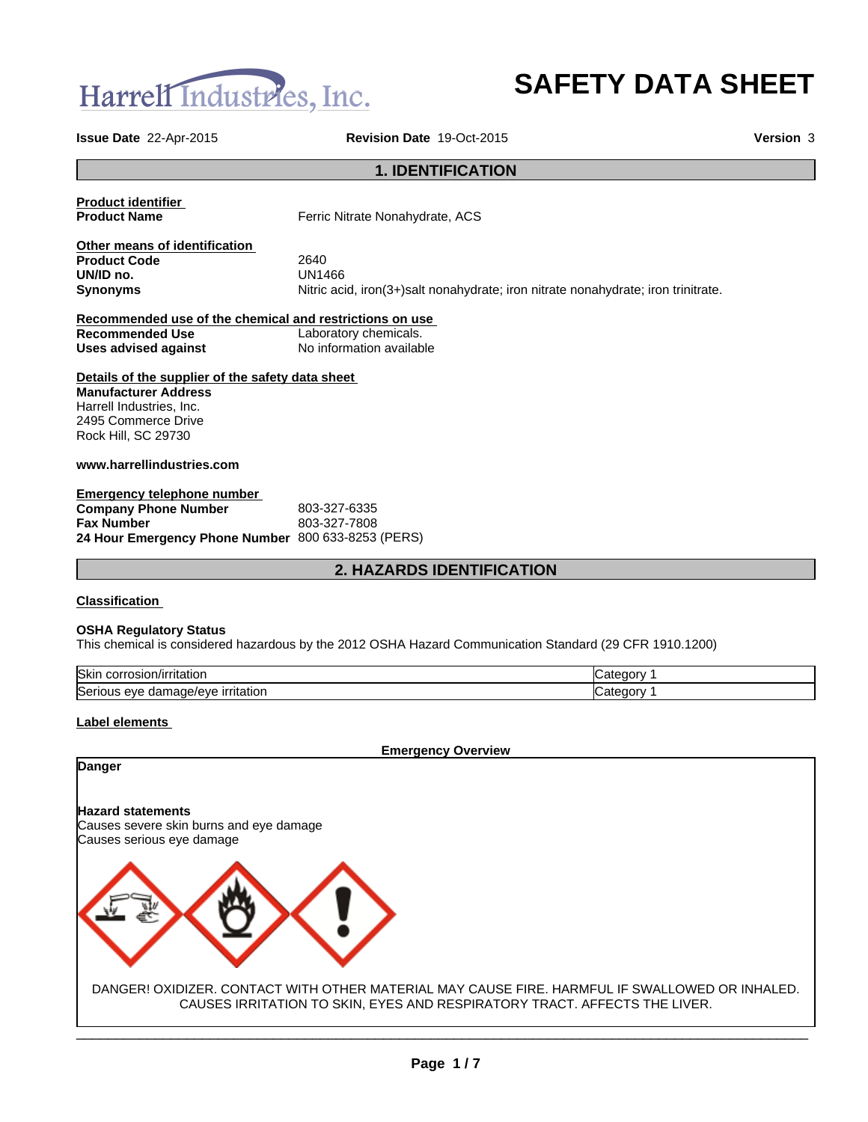

# **SAFETY DATA SHEET**

**Issue Date** 22-Apr-2015 **Revision Date** 19-Oct-2015 **Version** 3

# **1. IDENTIFICATION**

**Product identifier** 

**Product Name** Ferric Nitrate Nonahydrate, ACS

**Other means of identification Product Code** 2640 **UN/ID no.**<br>Synonyms

Nitric acid, iron(3+)salt nonahydrate; iron nitrate nonahydrate; iron trinitrate.

| Recommended use of the chemical and restrictions on use |                          |  |  |
|---------------------------------------------------------|--------------------------|--|--|
| Recommended Use                                         | Laboratory chemicals.    |  |  |
| Uses advised against                                    | No information available |  |  |

# **Details of the supplier of the safety data sheet**

**Manufacturer Address** Harrell Industries, Inc. 2495 Commerce Drive Rock Hill, SC 29730

# **www.harrellindustries.com**

| Emergency telephone number                         |              |
|----------------------------------------------------|--------------|
| <b>Company Phone Number</b>                        | 803-327-6335 |
| <b>Fax Number</b>                                  | 803-327-7808 |
| 24 Hour Emergency Phone Number 800 633-8253 (PERS) |              |

# **2. HAZARDS IDENTIFICATION**

### **Classification**

### **OSHA Regulatory Status**

This chemical is considered hazardous by the 2012 OSHA Hazard Communication Standard (29 CFR 1910.1200)

| <b>Skir</b><br>тітатіог<br>. .OFF<br>osioi                                 | .,<br>`∩rv     |
|----------------------------------------------------------------------------|----------------|
| lSer<br><b>irritation</b><br>one,<br>$\cdots$<br>eve<br>dar<br>veve.<br>ıa | ı<br>nnrv<br>. |

### **Label elements**

**Danger**

**Emergency Overview**

### **Hazard statements**

Causes severe skin burns and eye damage Causes serious eye damage



DANGER! OXIDIZER. CONTACT WITH OTHER MATERIAL MAY CAUSE FIRE. HARMFUL IF SWALLOWED OR INHALED. CAUSES IRRITATION TO SKIN, EYES AND RESPIRATORY TRACT. AFFECTS THE LIVER.

 $\mathcal{L}_\mathcal{L} = \mathcal{L}_\mathcal{L} = \mathcal{L}_\mathcal{L} = \mathcal{L}_\mathcal{L} = \mathcal{L}_\mathcal{L} = \mathcal{L}_\mathcal{L} = \mathcal{L}_\mathcal{L} = \mathcal{L}_\mathcal{L} = \mathcal{L}_\mathcal{L} = \mathcal{L}_\mathcal{L} = \mathcal{L}_\mathcal{L} = \mathcal{L}_\mathcal{L} = \mathcal{L}_\mathcal{L} = \mathcal{L}_\mathcal{L} = \mathcal{L}_\mathcal{L} = \mathcal{L}_\mathcal{L} = \mathcal{L}_\mathcal{L}$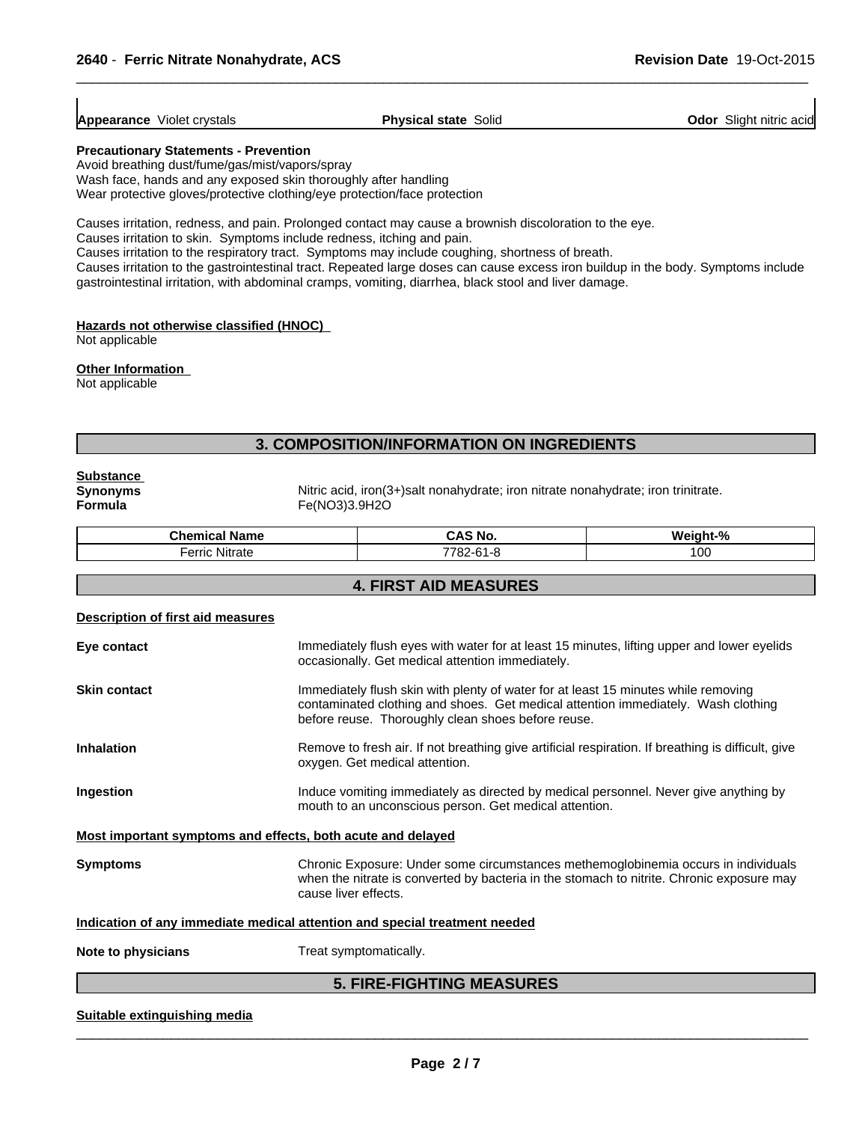| <b>Appearance</b> Violet crystals | <b>Physical state Solid</b> | <b>Odor</b> Slight nitric acid |
|-----------------------------------|-----------------------------|--------------------------------|

 $\overline{\phantom{a}}$  ,  $\overline{\phantom{a}}$  ,  $\overline{\phantom{a}}$  ,  $\overline{\phantom{a}}$  ,  $\overline{\phantom{a}}$  ,  $\overline{\phantom{a}}$  ,  $\overline{\phantom{a}}$  ,  $\overline{\phantom{a}}$  ,  $\overline{\phantom{a}}$  ,  $\overline{\phantom{a}}$  ,  $\overline{\phantom{a}}$  ,  $\overline{\phantom{a}}$  ,  $\overline{\phantom{a}}$  ,  $\overline{\phantom{a}}$  ,  $\overline{\phantom{a}}$  ,  $\overline{\phantom{a}}$ 

#### **Precautionary Statements - Prevention**

Avoid breathing dust/fume/gas/mist/vapors/spray Wash face, hands and any exposed skin thoroughly after handling Wear protective gloves/protective clothing/eye protection/face protection

Causes irritation, redness, and pain. Prolonged contact may cause a brownish discoloration to the eye.

Causes irritation to skin. Symptoms include redness, itching and pain.

Causes irritation to the respiratory tract. Symptoms may include coughing, shortness of breath.

Causes irritation to the gastrointestinal tract. Repeated large doses can cause excess iron buildup in the body. Symptoms include gastrointestinal irritation, with abdominal cramps, vomiting, diarrhea, black stool and liver damage.

### **Hazards not otherwise classified (HNOC)**

Not applicable

### **Other Information**

Not applicable

# **3. COMPOSITION/INFORMATION ON INGREDIENTS**

**Substance** 

**Synonyms**<br> **Fermula Example 18 Fermula Fermula Example 18 Fermula Fermula Example 18 Fermula Fermula Formula** Fe(NO3)3.9H2O

| $\sim$<br>$\sim$<br>`hemical Name<br>. | .No<br>--<br>. .              | .<br>Weiaht<br>$\sqrt{2}$ |
|----------------------------------------|-------------------------------|---------------------------|
| .<br>erric Nitrate<br>$  -$            | 7700.<br>$\sim$<br>$\sim$<br> | 100                       |

# **4. FIRST AID MEASURES**

# **Description of first aid measures**

| Eye contact         | Immediately flush eyes with water for at least 15 minutes, lifting upper and lower eyelids<br>occasionally. Get medical attention immediately.                                                                                |  |
|---------------------|-------------------------------------------------------------------------------------------------------------------------------------------------------------------------------------------------------------------------------|--|
| <b>Skin contact</b> | Immediately flush skin with plenty of water for at least 15 minutes while removing<br>contaminated clothing and shoes. Get medical attention immediately. Wash clothing<br>before reuse. Thoroughly clean shoes before reuse. |  |
| <b>Inhalation</b>   | Remove to fresh air. If not breathing give artificial respiration. If breathing is difficult, give<br>oxygen. Get medical attention.                                                                                          |  |
| Ingestion           | Induce vomiting immediately as directed by medical personnel. Never give anything by<br>mouth to an unconscious person. Get medical attention.                                                                                |  |
|                     | Most important symptoms and effects, both acute and delayed                                                                                                                                                                   |  |
| <b>Symptoms</b>     | Chronic Exposure: Under some circumstances methemoglobinemia occurs in individuals<br>when the nitrate is converted by bacteria in the stomach to nitrite. Chronic exposure may<br>cause liver effects.                       |  |
|                     | Indication of any immediate medical attention and special treatment needed                                                                                                                                                    |  |
|                     |                                                                                                                                                                                                                               |  |

**Note to physicians** Treat symptomatically.

# **5. FIRE-FIGHTING MEASURES**

### **Suitable extinguishing media**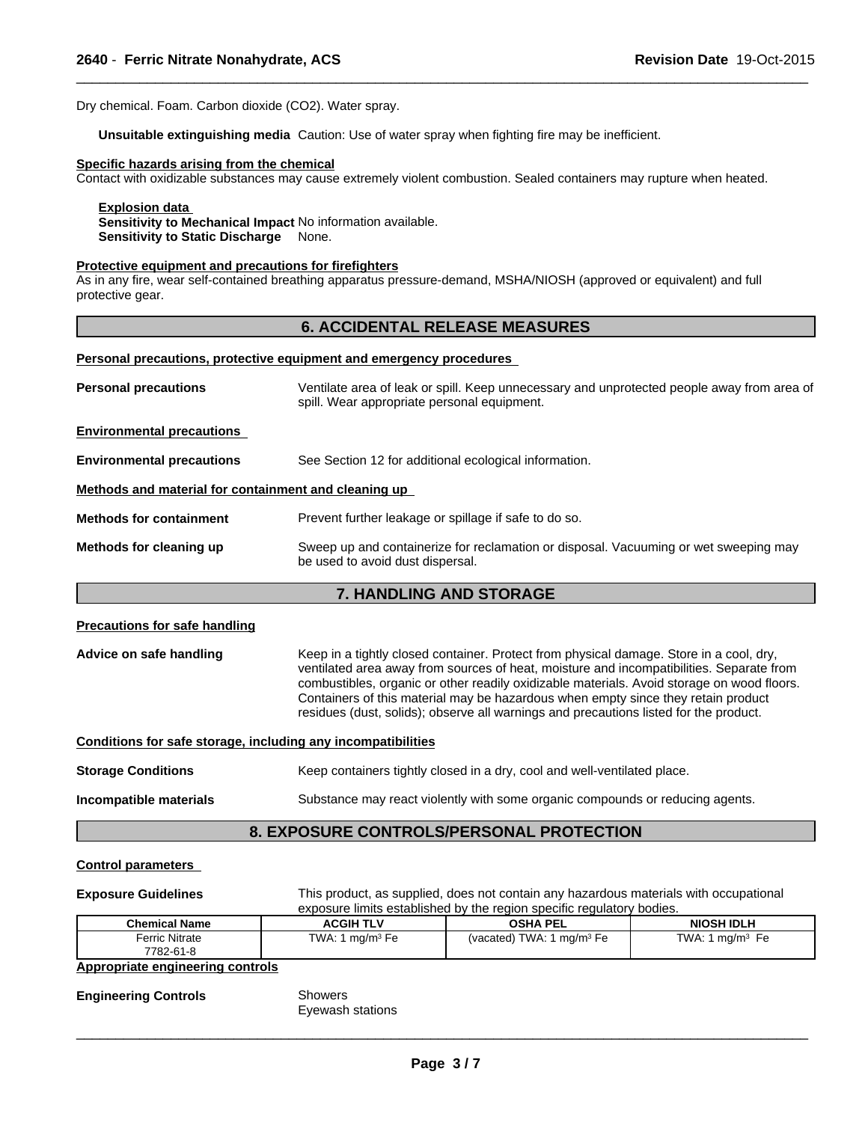Dry chemical. Foam. Carbon dioxide (CO2). Water spray.

**Unsuitable extinguishing media** Caution: Use of water spray when fighting fire may be inefficient.

### **Specific hazards arising from the chemical**

Contact with oxidizable substances may cause extremely violent combustion. Sealed containers may rupture when heated.

 $\overline{\phantom{a}}$  ,  $\overline{\phantom{a}}$  ,  $\overline{\phantom{a}}$  ,  $\overline{\phantom{a}}$  ,  $\overline{\phantom{a}}$  ,  $\overline{\phantom{a}}$  ,  $\overline{\phantom{a}}$  ,  $\overline{\phantom{a}}$  ,  $\overline{\phantom{a}}$  ,  $\overline{\phantom{a}}$  ,  $\overline{\phantom{a}}$  ,  $\overline{\phantom{a}}$  ,  $\overline{\phantom{a}}$  ,  $\overline{\phantom{a}}$  ,  $\overline{\phantom{a}}$  ,  $\overline{\phantom{a}}$ 

### **Explosion data**

**Sensitivity to Mechanical Impact** No information available. **Sensitivity to Static Discharge** None.

### **Protective equipment and precautions for firefighters**

As in any fire, wear self-contained breathing apparatus pressure-demand, MSHA/NIOSH (approved or equivalent) and full protective gear.

# **6. ACCIDENTAL RELEASE MEASURES**

#### **Personal precautions, protective equipment and emergency procedures**

| <b>Personal precautions</b>                          | Ventilate area of leak or spill. Keep unnecessary and unprotected people away from area of<br>spill. Wear appropriate personal equipment. |
|------------------------------------------------------|-------------------------------------------------------------------------------------------------------------------------------------------|
| <b>Environmental precautions</b>                     |                                                                                                                                           |
| <b>Environmental precautions</b>                     | See Section 12 for additional ecological information.                                                                                     |
| Methods and material for containment and cleaning up |                                                                                                                                           |
| <b>Methods for containment</b>                       | Prevent further leakage or spillage if safe to do so.                                                                                     |
| Methods for cleaning up                              | Sweep up and containerize for reclamation or disposal. Vacuuming or wet sweeping may<br>be used to avoid dust dispersal.                  |

# **7. HANDLING AND STORAGE**

### **Precautions for safe handling**

Advice on safe handling **Keep in a tightly closed container.** Protect from physical damage. Store in a cool, dry, ventilated area away from sources of heat, moisture and incompatibilities. Separate from combustibles, organic or other readily oxidizable materials. Avoid storage on wood floors. Containers of this material may be hazardous when empty since they retain product residues (dust, solids); observe all warnings and precautions listed for the product.

### **Conditions for safe storage, including any incompatibilities**

| <b>Storage Conditions</b> | Keep containers tightly closed in a dry, cool and well-ventilated place.      |
|---------------------------|-------------------------------------------------------------------------------|
| Incompatible materials    | Substance may react violently with some organic compounds or reducing agents. |

## **8. EXPOSURE CONTROLS/PERSONAL PROTECTION**

### **Control parameters**

| <b>Exposure Guidelines</b>              |                   | This product, as supplied, does not contain any hazardous materials with occupational<br>exposure limits established by the region specific regulatory bodies. |                    |  |  |
|-----------------------------------------|-------------------|----------------------------------------------------------------------------------------------------------------------------------------------------------------|--------------------|--|--|
| Chemical Name                           | <b>ACGIH TLV</b>  | <b>OSHA PEL</b>                                                                                                                                                | <b>NIOSH IDLH</b>  |  |  |
| <b>Ferric Nitrate</b>                   | TWA: 1 $mq/m3$ Fe | (vacated) TWA: 1 $mq/m3 Fe$                                                                                                                                    | TWA: 1 mg/m $3$ Fe |  |  |
| 7782-61-8                               |                   |                                                                                                                                                                |                    |  |  |
| <b>Appropriate engineering controls</b> |                   |                                                                                                                                                                |                    |  |  |

**Engineering Controls** Showers

Eyewash stations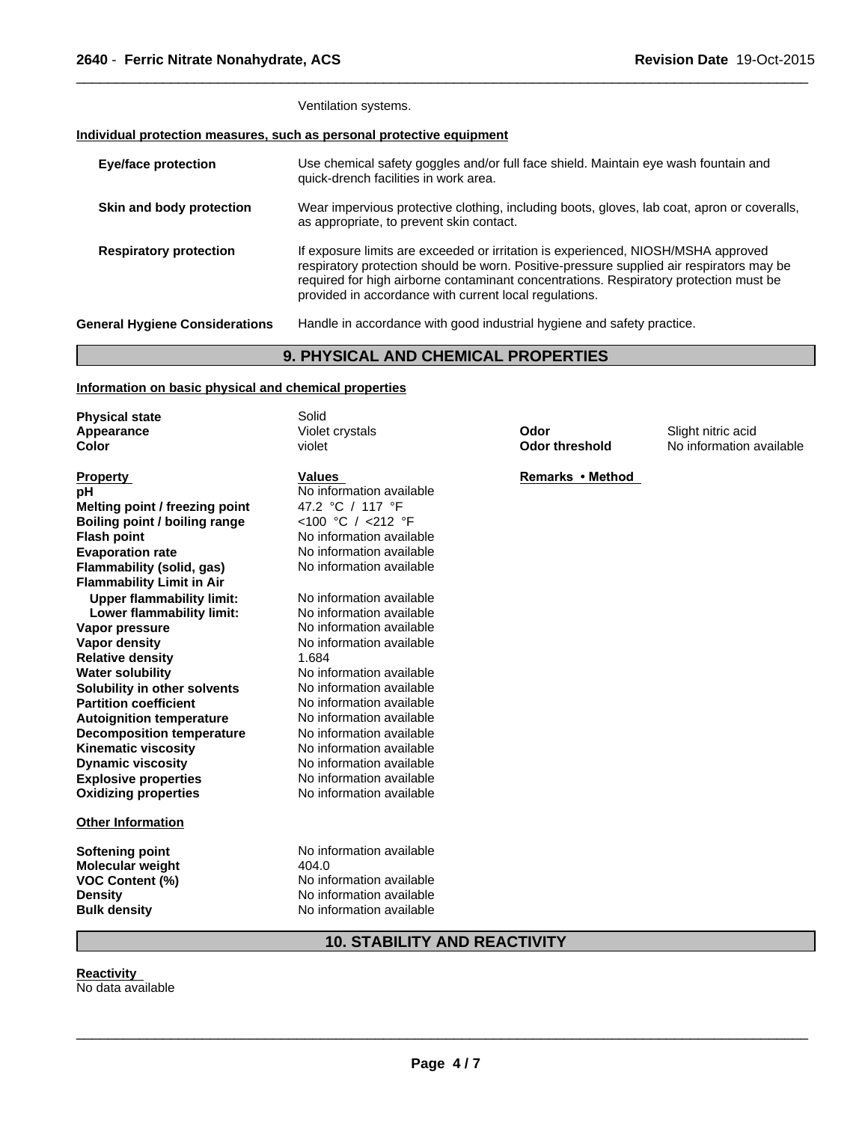Ventilation systems.

# **Individual protection measures, such as personal protective equipment**

| <b>Eye/face protection</b>            | Use chemical safety goggles and/or full face shield. Maintain eye wash fountain and<br>quick-drench facilities in work area.                                                                                                                                                                                                     |
|---------------------------------------|----------------------------------------------------------------------------------------------------------------------------------------------------------------------------------------------------------------------------------------------------------------------------------------------------------------------------------|
| Skin and body protection              | Wear impervious protective clothing, including boots, gloves, lab coat, apron or coveralls,<br>as appropriate, to prevent skin contact.                                                                                                                                                                                          |
| <b>Respiratory protection</b>         | If exposure limits are exceeded or irritation is experienced, NIOSH/MSHA approved<br>respiratory protection should be worn. Positive-pressure supplied air respirators may be<br>required for high airborne contaminant concentrations. Respiratory protection must be<br>provided in accordance with current local regulations. |
| <b>General Hygiene Considerations</b> | Handle in accordance with good industrial hygiene and safety practice.                                                                                                                                                                                                                                                           |

 $\overline{\phantom{a}}$  ,  $\overline{\phantom{a}}$  ,  $\overline{\phantom{a}}$  ,  $\overline{\phantom{a}}$  ,  $\overline{\phantom{a}}$  ,  $\overline{\phantom{a}}$  ,  $\overline{\phantom{a}}$  ,  $\overline{\phantom{a}}$  ,  $\overline{\phantom{a}}$  ,  $\overline{\phantom{a}}$  ,  $\overline{\phantom{a}}$  ,  $\overline{\phantom{a}}$  ,  $\overline{\phantom{a}}$  ,  $\overline{\phantom{a}}$  ,  $\overline{\phantom{a}}$  ,  $\overline{\phantom{a}}$ 

# **9. PHYSICAL AND CHEMICAL PROPERTIES**

# **Information on basic physical and chemical properties**

| <b>Physical state</b>            | Solid                    |                       |                          |
|----------------------------------|--------------------------|-----------------------|--------------------------|
| Appearance                       | Violet crystals          | Odor                  | Slight nitric acid       |
| Color                            | violet                   | <b>Odor threshold</b> | No information available |
| <b>Property</b>                  | <b>Values</b>            | Remarks • Method      |                          |
| рH                               | No information available |                       |                          |
| Melting point / freezing point   | 47.2 °C / 117 °F         |                       |                          |
| Boiling point / boiling range    | <100 °C / <212 °F        |                       |                          |
| <b>Flash point</b>               | No information available |                       |                          |
| <b>Evaporation rate</b>          | No information available |                       |                          |
| Flammability (solid, gas)        | No information available |                       |                          |
| <b>Flammability Limit in Air</b> |                          |                       |                          |
| <b>Upper flammability limit:</b> | No information available |                       |                          |
| Lower flammability limit:        | No information available |                       |                          |
| Vapor pressure                   | No information available |                       |                          |
| <b>Vapor density</b>             | No information available |                       |                          |
| <b>Relative density</b>          | 1.684                    |                       |                          |
| <b>Water solubility</b>          | No information available |                       |                          |
| Solubility in other solvents     | No information available |                       |                          |
| <b>Partition coefficient</b>     | No information available |                       |                          |
| <b>Autoignition temperature</b>  | No information available |                       |                          |
| <b>Decomposition temperature</b> | No information available |                       |                          |
| <b>Kinematic viscosity</b>       | No information available |                       |                          |
| <b>Dynamic viscosity</b>         | No information available |                       |                          |
| <b>Explosive properties</b>      | No information available |                       |                          |
| <b>Oxidizing properties</b>      | No information available |                       |                          |
| <b>Other Information</b>         |                          |                       |                          |
| <b>Softening point</b>           | No information available |                       |                          |
| <b>Molecular weight</b>          | 404.0                    |                       |                          |
| VOC Content (%)                  | No information available |                       |                          |
| <b>Density</b>                   | No information available |                       |                          |
| <b>Bulk density</b>              | No information available |                       |                          |

**10. STABILITY AND REACTIVITY**

**Reactivity**  No data available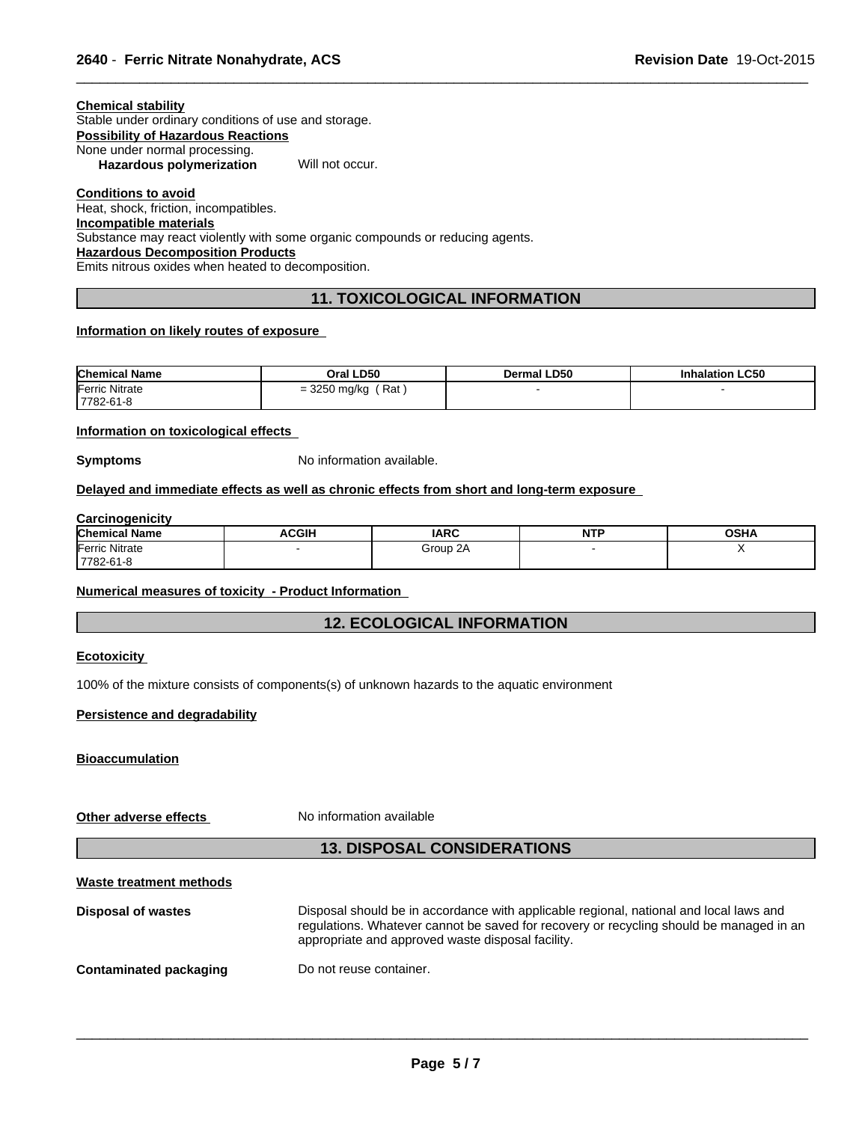| Chemical stabilitv                                   |  |
|------------------------------------------------------|--|
| Stable under ordinary conditions of use and storage. |  |
| Possibility of Hazardous Reactions                   |  |
| None under normal processing.                        |  |

**Hazardous polymerization** Will not occur.

**Conditions to avoid** Heat, shock, friction, incompatibles. **Incompatible materials**

Substance may react violently with some organic compounds or reducing agents.

**Hazardous Decomposition Products**

Emits nitrous oxides when heated to decomposition.

# **11. TOXICOLOGICAL INFORMATION**

 $\overline{\phantom{a}}$  ,  $\overline{\phantom{a}}$  ,  $\overline{\phantom{a}}$  ,  $\overline{\phantom{a}}$  ,  $\overline{\phantom{a}}$  ,  $\overline{\phantom{a}}$  ,  $\overline{\phantom{a}}$  ,  $\overline{\phantom{a}}$  ,  $\overline{\phantom{a}}$  ,  $\overline{\phantom{a}}$  ,  $\overline{\phantom{a}}$  ,  $\overline{\phantom{a}}$  ,  $\overline{\phantom{a}}$  ,  $\overline{\phantom{a}}$  ,  $\overline{\phantom{a}}$  ,  $\overline{\phantom{a}}$ 

# **Information on likely routes of exposure**

| <b>Chemical Name</b> | LD50<br>Oral I                                   | <b>LD50</b><br>Dermal | LC50 |
|----------------------|--------------------------------------------------|-----------------------|------|
| Ferric<br>Nitrate    | Rat<br>$\sim$ $\sim$<br>mq/ka<br>-<br>. ب<br>- v |                       |      |
| 7782-61-8            |                                                  |                       |      |

### **Information on toxicological effects**

**Symptoms** No information available.

# **Delayed and immediate effects as well as chronic effects from short and long-term exposure**

# **Carcinogenicity**

| <b>Chemical Name</b>  | <b>ACGIH</b> | <b>IARC</b>        | <b>NITD</b><br>. | <b>OSHA</b> |
|-----------------------|--------------|--------------------|------------------|-------------|
| <b>Ferric Nitrate</b> |              | $\sim$<br>Group 2/ |                  |             |
| ' 7782-61-ა           |              |                    |                  |             |

# **Numerical measures of toxicity - Product Information**

# **12. ECOLOGICAL INFORMATION**

### **Ecotoxicity**

100% of the mixture consists of components(s) of unknown hazards to the aquatic environment

### **Persistence and degradability**

**Bioaccumulation**

**Other adverse effects** No information available

# **13. DISPOSAL CONSIDERATIONS**

# **Waste treatment methods**

| Disposal of wastes     | Disposal should be in accordance with applicable regional, national and local laws and<br>regulations. Whatever cannot be saved for recovery or recycling should be managed in an<br>appropriate and approved waste disposal facility. |
|------------------------|----------------------------------------------------------------------------------------------------------------------------------------------------------------------------------------------------------------------------------------|
| Contaminated packaging | Do not reuse container.                                                                                                                                                                                                                |
|                        |                                                                                                                                                                                                                                        |
|                        |                                                                                                                                                                                                                                        |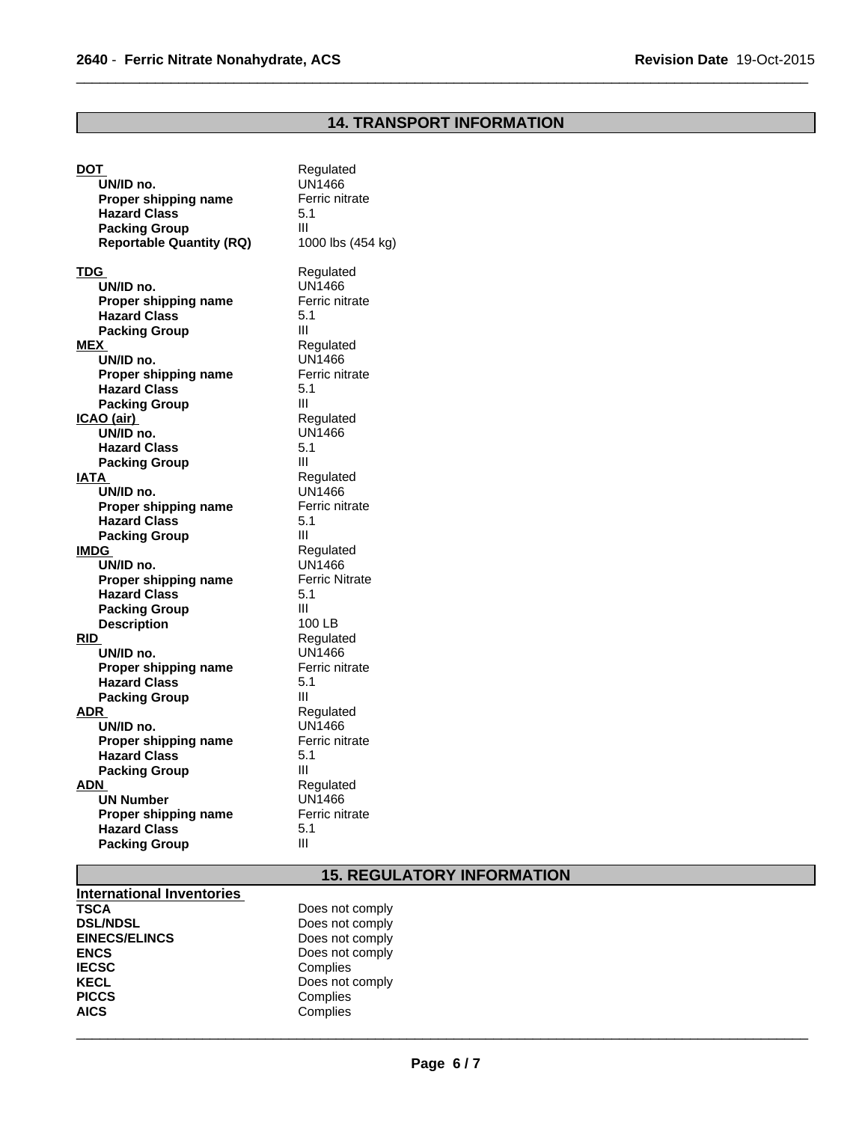# **14. TRANSPORT INFORMATION**

 $\overline{\phantom{a}}$  ,  $\overline{\phantom{a}}$  ,  $\overline{\phantom{a}}$  ,  $\overline{\phantom{a}}$  ,  $\overline{\phantom{a}}$  ,  $\overline{\phantom{a}}$  ,  $\overline{\phantom{a}}$  ,  $\overline{\phantom{a}}$  ,  $\overline{\phantom{a}}$  ,  $\overline{\phantom{a}}$  ,  $\overline{\phantom{a}}$  ,  $\overline{\phantom{a}}$  ,  $\overline{\phantom{a}}$  ,  $\overline{\phantom{a}}$  ,  $\overline{\phantom{a}}$  ,  $\overline{\phantom{a}}$ 

| DOT                             | Regulated             |
|---------------------------------|-----------------------|
| UN/ID no.                       | <b>UN1466</b>         |
| Proper shipping name            | Ferric nitrate        |
| <b>Hazard Class</b>             | 5.1                   |
| <b>Packing Group</b>            | Ш                     |
| <b>Reportable Quantity (RQ)</b> | 1000 lbs (454 kg)     |
|                                 |                       |
| TDG                             | Regulated             |
| UN/ID no.                       | UN1466                |
| Proper shipping name            | Ferric nitrate        |
| <b>Hazard Class</b>             | 5.1                   |
| <b>Packing Group</b>            | Ш                     |
| MEX                             | Regulated             |
| UN/ID no.                       | <b>UN1466</b>         |
| Proper shipping name            | Ferric nitrate        |
| <b>Hazard Class</b>             | 5.1                   |
| <b>Packing Group</b>            | Ш                     |
| ICAO (air)                      | Regulated             |
| UN/ID no.                       | UN1466                |
| <b>Hazard Class</b>             | 5.1                   |
| <b>Packing Group</b>            | Ш                     |
| IATA                            | Regulated             |
| UN/ID no.                       | <b>UN1466</b>         |
| Proper shipping name            | Ferric nitrate        |
| <b>Hazard Class</b>             | 5.1                   |
| <b>Packing Group</b>            | Ш                     |
| IMDG                            | Regulated             |
| UN/ID no.                       | <b>UN1466</b>         |
| Proper shipping name            | <b>Ferric Nitrate</b> |
| <b>Hazard Class</b>             | 5.1                   |
| <b>Packing Group</b>            | Ш                     |
| <b>Description</b>              | 100 LB                |
| <b>RID</b>                      | Regulated             |
| UN/ID no.                       | UN1466                |
| Proper shipping name            | Ferric nitrate        |
| <b>Hazard Class</b>             | 5.1                   |
| <b>Packing Group</b>            | Ш                     |
| ADR                             | Regulated             |
| UN/ID no.                       | UN1466                |
| Proper shipping name            | Ferric nitrate        |
| <b>Hazard Class</b>             | 5.1                   |
| <b>Packing Group</b>            | Ш                     |
| ADN                             | Regulated             |
| <b>UN Number</b>                | <b>UN1466</b>         |
| Proper shipping name            | Ferric nitrate        |
| <b>Hazard Class</b>             | 5.1                   |
| <b>Packing Group</b>            | Ш                     |
|                                 |                       |

# **15. REGULATORY INFORMATION**

| <b>International Inventories</b> |                 |  |
|----------------------------------|-----------------|--|
| <b>TSCA</b>                      | Does not comply |  |
| <b>DSL/NDSL</b>                  | Does not comply |  |
| <b>EINECS/ELINCS</b>             | Does not comply |  |
| <b>ENCS</b>                      | Does not comply |  |
| <b>IECSC</b>                     | Complies        |  |
| <b>KECL</b>                      | Does not comply |  |
| <b>PICCS</b>                     | Complies        |  |
| <b>AICS</b>                      | Complies        |  |
|                                  |                 |  |
|                                  |                 |  |